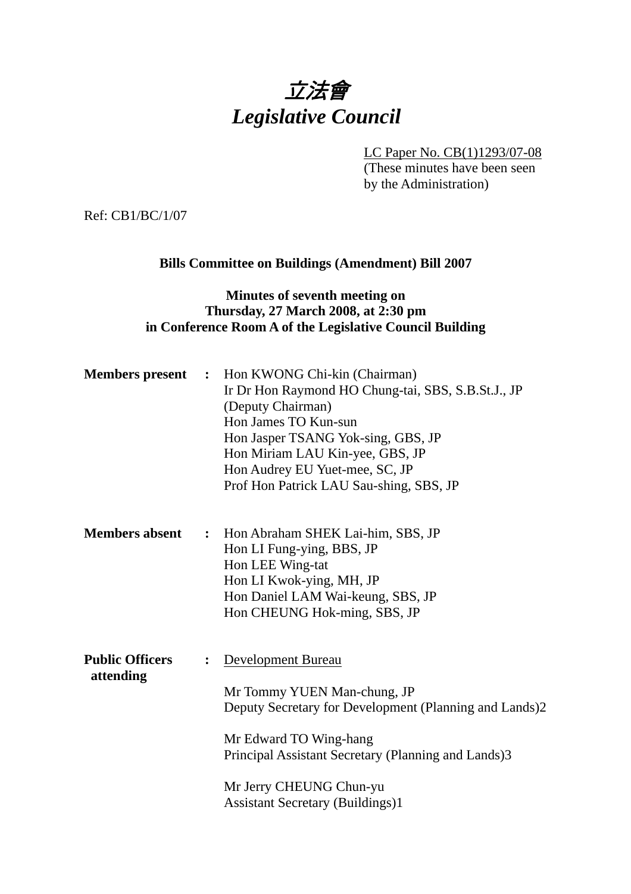# 立法會 *Legislative Council*

LC Paper No. CB(1)1293/07-08

(These minutes have been seen by the Administration)

Ref: CB1/BC/1/07

## **Bills Committee on Buildings (Amendment) Bill 2007**

## **Minutes of seventh meeting on Thursday, 27 March 2008, at 2:30 pm in Conference Room A of the Legislative Council Building**

| <b>Members</b> present              | $\ddot{\phantom{1}}$ | Hon KWONG Chi-kin (Chairman)<br>Ir Dr Hon Raymond HO Chung-tai, SBS, S.B.St.J., JP<br>(Deputy Chairman)<br>Hon James TO Kun-sun<br>Hon Jasper TSANG Yok-sing, GBS, JP<br>Hon Miriam LAU Kin-yee, GBS, JP<br>Hon Audrey EU Yuet-mee, SC, JP<br>Prof Hon Patrick LAU Sau-shing, SBS, JP |
|-------------------------------------|----------------------|---------------------------------------------------------------------------------------------------------------------------------------------------------------------------------------------------------------------------------------------------------------------------------------|
| <b>Members absent</b>               |                      | : Hon Abraham SHEK Lai-him, SBS, JP<br>Hon LI Fung-ying, BBS, JP<br>Hon LEE Wing-tat<br>Hon LI Kwok-ying, MH, JP<br>Hon Daniel LAM Wai-keung, SBS, JP<br>Hon CHEUNG Hok-ming, SBS, JP                                                                                                 |
| <b>Public Officers</b><br>attending |                      | Development Bureau<br>Mr Tommy YUEN Man-chung, JP<br>Deputy Secretary for Development (Planning and Lands)2<br>Mr Edward TO Wing-hang<br>Principal Assistant Secretary (Planning and Lands)3<br>Mr Jerry CHEUNG Chun-yu<br><b>Assistant Secretary (Buildings)1</b>                    |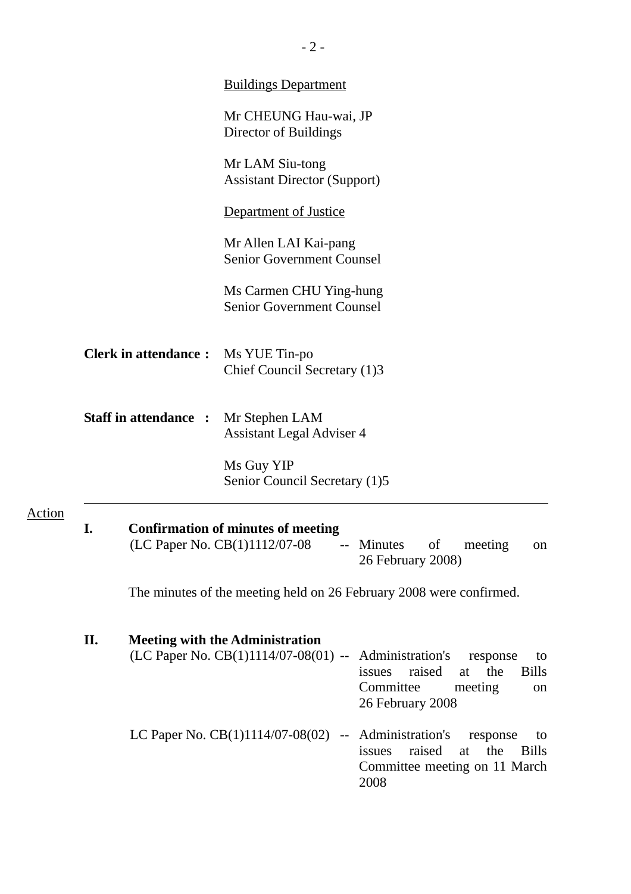|        |    |                              | <b>Buildings Department</b>                                                |                                                                                                                                                                         |
|--------|----|------------------------------|----------------------------------------------------------------------------|-------------------------------------------------------------------------------------------------------------------------------------------------------------------------|
|        |    |                              | Mr CHEUNG Hau-wai, JP<br>Director of Buildings                             |                                                                                                                                                                         |
|        |    |                              | Mr LAM Siu-tong<br><b>Assistant Director (Support)</b>                     |                                                                                                                                                                         |
|        |    |                              | <b>Department of Justice</b>                                               |                                                                                                                                                                         |
|        |    |                              | Mr Allen LAI Kai-pang<br><b>Senior Government Counsel</b>                  |                                                                                                                                                                         |
|        |    |                              | Ms Carmen CHU Ying-hung<br><b>Senior Government Counsel</b>                |                                                                                                                                                                         |
|        |    | <b>Clerk in attendance:</b>  | Ms YUE Tin-po<br>Chief Council Secretary (1)3                              |                                                                                                                                                                         |
|        |    | <b>Staff in attendance :</b> | Mr Stephen LAM<br><b>Assistant Legal Adviser 4</b>                         |                                                                                                                                                                         |
|        |    |                              | Ms Guy YIP<br>Senior Council Secretary (1)5                                |                                                                                                                                                                         |
| Action |    |                              | <b>Confirmation of minutes of meeting</b><br>(LC Paper No. CB(1)1112/07-08 | of<br>meeting<br>-- Minutes<br>on<br>26 February 2008)                                                                                                                  |
|        |    |                              |                                                                            | The minutes of the meeting held on 26 February 2008 were confirmed.                                                                                                     |
|        | П. |                              | <b>Meeting with the Administration</b>                                     | (LC Paper No. CB(1)1114/07-08(01) -- Administration's response<br>to<br>raised<br><b>Bills</b><br>the<br>issues<br>at<br>Committee<br>meeting<br>on<br>26 February 2008 |
|        |    |                              |                                                                            | LC Paper No. $CB(1)1114/07-08(02)$ -- Administration's response<br>to<br>raised<br>the<br><b>Bills</b><br>issues<br>at<br>Committee meeting on 11 March<br>2008         |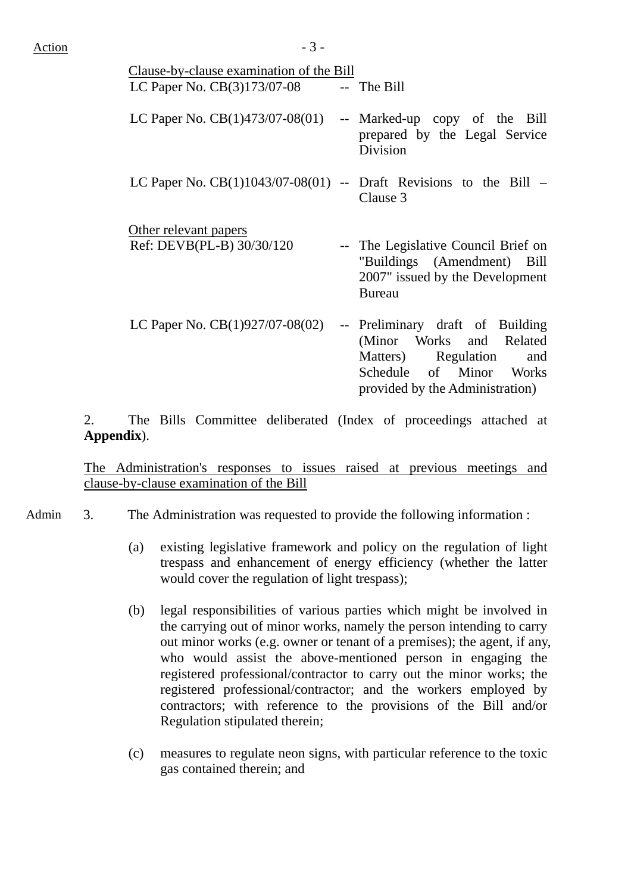| Clause-by-clause examination of the Bill<br>LC Paper No. $CB(3)173/07-08$ -- The Bill |                                                                                                                                                          |
|---------------------------------------------------------------------------------------|----------------------------------------------------------------------------------------------------------------------------------------------------------|
| LC Paper No. $CB(1)473/07-08(01)$                                                     | -- Marked-up copy of the Bill<br>prepared by the Legal Service<br>Division                                                                               |
| LC Paper No. $CB(1)1043/07-08(01)$ -- Draft Revisions to the Bill $-$                 | Clause 3                                                                                                                                                 |
| Other relevant papers<br>Ref: DEVB(PL-B) 30/30/120                                    | -- The Legislative Council Brief on<br>"Buildings (Amendment)<br>Bill<br>2007" issued by the Development<br><b>Bureau</b>                                |
| LC Paper No. $CB(1)927/07-08(02)$                                                     | -- Preliminary draft of Building<br>(Minor Works and Related<br>Matters) Regulation<br>and<br>Schedule of Minor Works<br>provided by the Administration) |

2. The Bills Committee deliberated (Index of proceedings attached at **Appendix**).

The Administration's responses to issues raised at previous meetings and clause-by-clause examination of the Bill

- Admin 3. The Administration was requested to provide the following information :
	- (a) existing legislative framework and policy on the regulation of light trespass and enhancement of energy efficiency (whether the latter would cover the regulation of light trespass);
	- (b) legal responsibilities of various parties which might be involved in the carrying out of minor works, namely the person intending to carry out minor works (e.g. owner or tenant of a premises); the agent, if any, who would assist the above-mentioned person in engaging the registered professional/contractor to carry out the minor works; the registered professional/contractor; and the workers employed by contractors; with reference to the provisions of the Bill and/or Regulation stipulated therein;
	- (c) measures to regulate neon signs, with particular reference to the toxic gas contained therein; and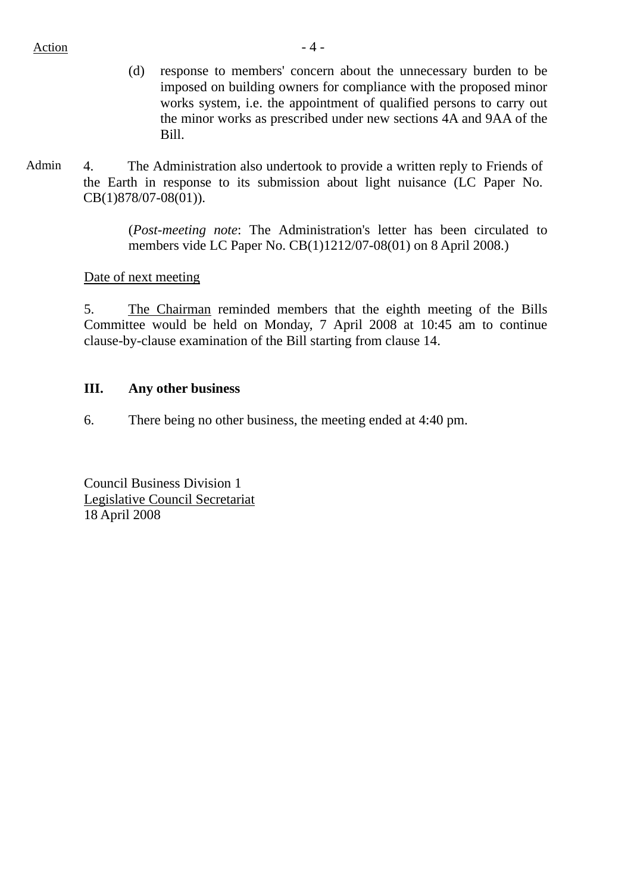#### Action  $-4$  -

- (d) response to members' concern about the unnecessary burden to be imposed on building owners for compliance with the proposed minor works system, i.e. the appointment of qualified persons to carry out the minor works as prescribed under new sections 4A and 9AA of the Bill.
- Admin 4. The Administration also undertook to provide a written reply to Friends of the Earth in response to its submission about light nuisance (LC Paper No. CB(1)878/07-08(01)).

(*Post-meeting note*: The Administration's letter has been circulated to members vide LC Paper No. CB(1)1212/07-08(01) on 8 April 2008.)

## Date of next meeting

5. The Chairman reminded members that the eighth meeting of the Bills Committee would be held on Monday, 7 April 2008 at 10:45 am to continue clause-by-clause examination of the Bill starting from clause 14.

## **III. Any other business**

6. There being no other business, the meeting ended at 4:40 pm.

Council Business Division 1 Legislative Council Secretariat 18 April 2008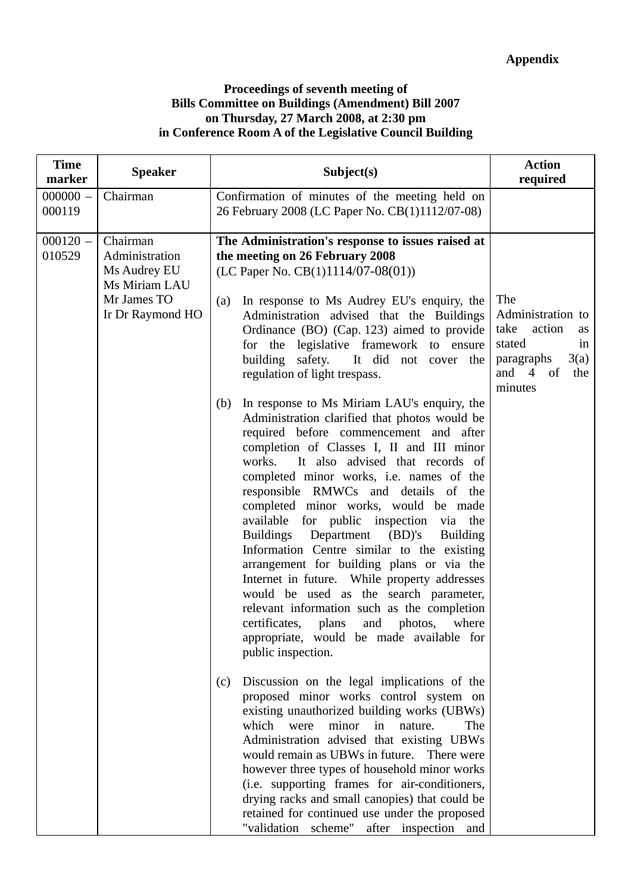### **Proceedings of seventh meeting of Bills Committee on Buildings (Amendment) Bill 2007 on Thursday, 27 March 2008, at 2:30 pm in Conference Room A of the Legislative Council Building**

| <b>Time</b><br>marker | <b>Speaker</b>                                                                                 | Subject(s)                                                                                                                                                                                                                                                                                                                                                                                                                                                                                                                                                                                                                                                                                                                                                                                                                                                                                                                                                                                                                                                                                                                                                                                                                                                                                                                                                                                                                                                                                                                                                                                                                                                                                                                                     | <b>Action</b><br>required                                                                                                               |
|-----------------------|------------------------------------------------------------------------------------------------|------------------------------------------------------------------------------------------------------------------------------------------------------------------------------------------------------------------------------------------------------------------------------------------------------------------------------------------------------------------------------------------------------------------------------------------------------------------------------------------------------------------------------------------------------------------------------------------------------------------------------------------------------------------------------------------------------------------------------------------------------------------------------------------------------------------------------------------------------------------------------------------------------------------------------------------------------------------------------------------------------------------------------------------------------------------------------------------------------------------------------------------------------------------------------------------------------------------------------------------------------------------------------------------------------------------------------------------------------------------------------------------------------------------------------------------------------------------------------------------------------------------------------------------------------------------------------------------------------------------------------------------------------------------------------------------------------------------------------------------------|-----------------------------------------------------------------------------------------------------------------------------------------|
| $000000 -$<br>000119  | Chairman                                                                                       | Confirmation of minutes of the meeting held on<br>26 February 2008 (LC Paper No. CB(1)1112/07-08)                                                                                                                                                                                                                                                                                                                                                                                                                                                                                                                                                                                                                                                                                                                                                                                                                                                                                                                                                                                                                                                                                                                                                                                                                                                                                                                                                                                                                                                                                                                                                                                                                                              |                                                                                                                                         |
| $000120 -$<br>010529  | Chairman<br>Administration<br>Ms Audrey EU<br>Ms Miriam LAU<br>Mr James TO<br>Ir Dr Raymond HO | The Administration's response to issues raised at<br>the meeting on 26 February 2008<br>(LC Paper No. $CB(1)1114/07-08(01)$ )<br>In response to Ms Audrey EU's enquiry, the<br>(a)<br>Administration advised that the Buildings<br>Ordinance (BO) (Cap. 123) aimed to provide<br>for the legislative framework to ensure<br>building safety.<br>It did not cover the<br>regulation of light trespass.<br>In response to Ms Miriam LAU's enquiry, the<br>(b)<br>Administration clarified that photos would be<br>required before commencement and after<br>completion of Classes I, II and III minor<br>It also advised that records of<br>works.<br>completed minor works, i.e. names of the<br>responsible RMWCs and details of the<br>completed minor works, would be made<br>available for public inspection via the<br>Department<br>(BD)'s<br><b>Buildings</b><br><b>Building</b><br>Information Centre similar to the existing<br>arrangement for building plans or via the<br>Internet in future. While property addresses<br>would be used as the search parameter,<br>relevant information such as the completion<br>certificates,<br>plans<br>and<br>photos,<br>where<br>appropriate, would be made available for<br>public inspection.<br>Discussion on the legal implications of the<br>(c)<br>proposed minor works control system on<br>existing unauthorized building works (UBWs)<br>which were<br>minor in<br>nature.<br>The<br>Administration advised that existing UBWs<br>would remain as UBWs in future.<br>There were<br>however three types of household minor works<br>(i.e. supporting frames for air-conditioners,<br>drying racks and small canopies) that could be<br>retained for continued use under the proposed | The<br>Administration to<br>take<br>action<br>as<br>stated<br>in<br>3(a)<br>paragraphs<br>and<br>the<br>$\overline{4}$<br>of<br>minutes |
|                       |                                                                                                | "validation scheme" after inspection and                                                                                                                                                                                                                                                                                                                                                                                                                                                                                                                                                                                                                                                                                                                                                                                                                                                                                                                                                                                                                                                                                                                                                                                                                                                                                                                                                                                                                                                                                                                                                                                                                                                                                                       |                                                                                                                                         |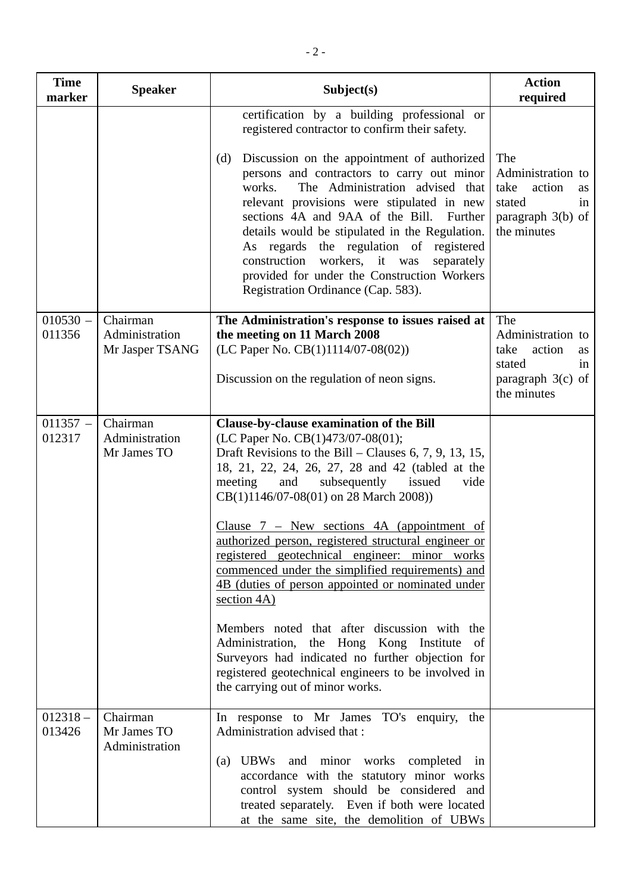| <b>Time</b><br>marker | <b>Speaker</b>                                | Subject(s)                                                                                                                                                                                                                                                                                                                                                                                                                                                                                                                                                                                                                                                                                                                                                                                                                 | <b>Action</b><br>required                                                                              |
|-----------------------|-----------------------------------------------|----------------------------------------------------------------------------------------------------------------------------------------------------------------------------------------------------------------------------------------------------------------------------------------------------------------------------------------------------------------------------------------------------------------------------------------------------------------------------------------------------------------------------------------------------------------------------------------------------------------------------------------------------------------------------------------------------------------------------------------------------------------------------------------------------------------------------|--------------------------------------------------------------------------------------------------------|
|                       |                                               | certification by a building professional or<br>registered contractor to confirm their safety.<br>Discussion on the appointment of authorized<br>(d)<br>persons and contractors to carry out minor<br>The Administration advised that<br>works.<br>relevant provisions were stipulated in new<br>sections 4A and 9AA of the Bill. Further<br>details would be stipulated in the Regulation.<br>As regards the regulation of registered<br>construction<br>workers, it was<br>separately<br>provided for under the Construction Workers<br>Registration Ordinance (Cap. 583).                                                                                                                                                                                                                                                | The<br>Administration to<br>take<br>action<br>as<br>stated<br>in<br>paragraph $3(b)$ of<br>the minutes |
| $010530 -$<br>011356  | Chairman<br>Administration<br>Mr Jasper TSANG | The Administration's response to issues raised at<br>the meeting on 11 March 2008<br>(LC Paper No. CB(1)1114/07-08(02))<br>Discussion on the regulation of neon signs.                                                                                                                                                                                                                                                                                                                                                                                                                                                                                                                                                                                                                                                     | The<br>Administration to<br>action<br>take<br>as<br>stated<br>in<br>paragraph $3(c)$ of<br>the minutes |
| $011357 -$<br>012317  | Chairman<br>Administration<br>Mr James TO     | Clause-by-clause examination of the Bill<br>(LC Paper No. CB(1)473/07-08(01);<br>Draft Revisions to the Bill – Clauses 6, 7, 9, 13, 15,<br>18, 21, 22, 24, 26, 27, 28 and 42 (tabled at the<br>and<br>subsequently issued<br>meeting<br>vide<br>CB(1)1146/07-08(01) on 28 March 2008))<br>Clause $7$ – New sections 4A (appointment of<br>authorized person, registered structural engineer or<br>registered geotechnical engineer: minor works<br>commenced under the simplified requirements) and<br>4B (duties of person appointed or nominated under<br>section $4A$ )<br>Members noted that after discussion with the<br>Administration, the Hong Kong Institute<br>of<br>Surveyors had indicated no further objection for<br>registered geotechnical engineers to be involved in<br>the carrying out of minor works. |                                                                                                        |
| $012318 -$<br>013426  | Chairman<br>Mr James TO<br>Administration     | In response to Mr James TO's enquiry,<br>the<br>Administration advised that :<br>(a) UBWs and minor works completed<br>in<br>accordance with the statutory minor works<br>control system should be considered and<br>treated separately. Even if both were located<br>at the same site, the demolition of UBWs                                                                                                                                                                                                                                                                                                                                                                                                                                                                                                             |                                                                                                        |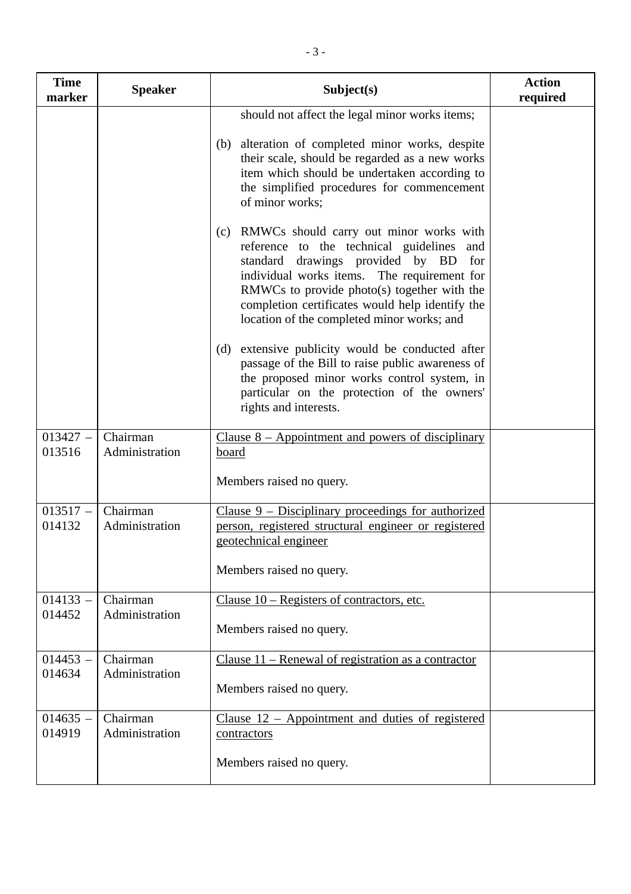| <b>Time</b><br>marker | <b>Speaker</b>             | Subject(s)                                                                                                                                                                                                                                                                                                                         | <b>Action</b><br>required |
|-----------------------|----------------------------|------------------------------------------------------------------------------------------------------------------------------------------------------------------------------------------------------------------------------------------------------------------------------------------------------------------------------------|---------------------------|
|                       |                            | should not affect the legal minor works items;                                                                                                                                                                                                                                                                                     |                           |
|                       |                            | (b) alteration of completed minor works, despite<br>their scale, should be regarded as a new works<br>item which should be undertaken according to<br>the simplified procedures for commencement<br>of minor works;                                                                                                                |                           |
|                       |                            | (c) RMWCs should carry out minor works with<br>reference to the technical guidelines and<br>standard drawings provided by BD<br>for<br>individual works items. The requirement for<br>RMWCs to provide photo(s) together with the<br>completion certificates would help identify the<br>location of the completed minor works; and |                           |
|                       |                            | (d) extensive publicity would be conducted after<br>passage of the Bill to raise public awareness of<br>the proposed minor works control system, in<br>particular on the protection of the owners'<br>rights and interests.                                                                                                        |                           |
| $013427 -$<br>013516  | Chairman<br>Administration | Clause $8 -$ Appointment and powers of disciplinary<br>board<br>Members raised no query.                                                                                                                                                                                                                                           |                           |
| $013517 -$<br>014132  | Chairman<br>Administration | Clause $9$ – Disciplinary proceedings for authorized<br>person, registered structural engineer or registered<br>geotechnical engineer<br>Members raised no query.                                                                                                                                                                  |                           |
| $014133 -$<br>014452  | Chairman<br>Administration | Clause $10$ – Registers of contractors, etc.<br>Members raised no query.                                                                                                                                                                                                                                                           |                           |
| $014453 -$<br>014634  | Chairman<br>Administration | Clause $11$ – Renewal of registration as a contractor<br>Members raised no query.                                                                                                                                                                                                                                                  |                           |
| $014635 -$<br>014919  | Chairman<br>Administration | Clause $12$ – Appointment and duties of registered<br>contractors<br>Members raised no query.                                                                                                                                                                                                                                      |                           |